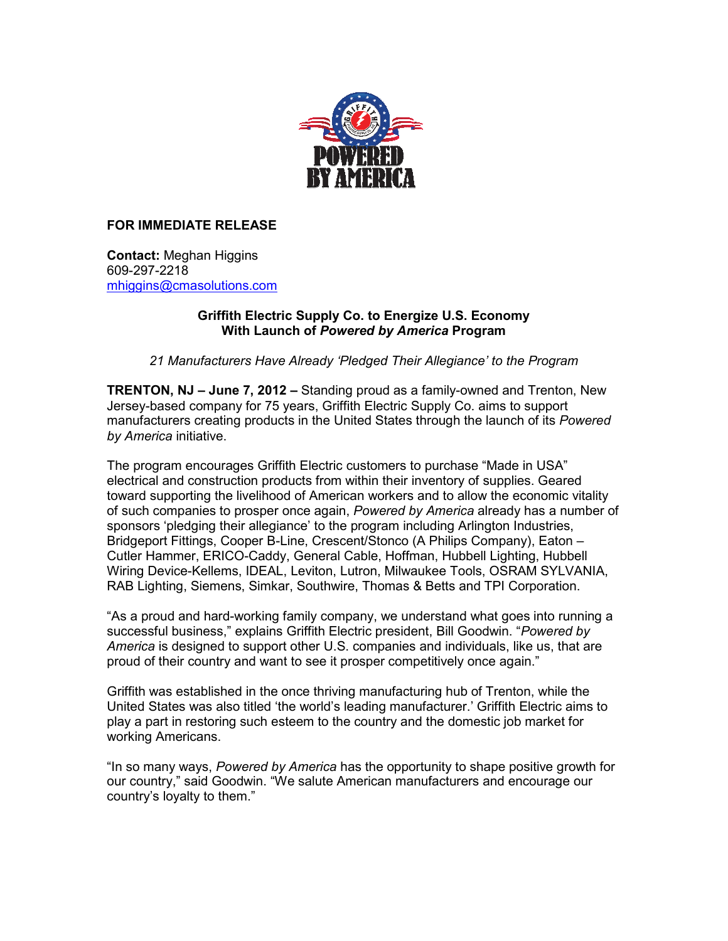

## **FOR IMMEDIATE RELEASE**

**Contact:** Meghan Higgins 609-297-2218 mhiggins@cmasolutions.com

## **Griffith Electric Supply Co. to Energize U.S. Economy With Launch of** *Powered by America* **Program**

*21 Manufacturers Have Already 'Pledged Their Allegiance' to the Program* 

**TRENTON, NJ – June 7, 2012 –** Standing proud as a family-owned and Trenton, New Jersey-based company for 75 years, Griffith Electric Supply Co. aims to support manufacturers creating products in the United States through the launch of its *Powered by America* initiative.

The program encourages Griffith Electric customers to purchase "Made in USA" electrical and construction products from within their inventory of supplies. Geared toward supporting the livelihood of American workers and to allow the economic vitality of such companies to prosper once again, *Powered by America* already has a number of sponsors 'pledging their allegiance' to the program including Arlington Industries, Bridgeport Fittings, Cooper B-Line, Crescent/Stonco (A Philips Company), Eaton – Cutler Hammer, ERICO-Caddy, General Cable, Hoffman, Hubbell Lighting, Hubbell Wiring Device-Kellems, IDEAL, Leviton, Lutron, Milwaukee Tools, OSRAM SYLVANIA, RAB Lighting, Siemens, Simkar, Southwire, Thomas & Betts and TPI Corporation.

"As a proud and hard-working family company, we understand what goes into running a successful business," explains Griffith Electric president, Bill Goodwin. "*Powered by America* is designed to support other U.S. companies and individuals, like us, that are proud of their country and want to see it prosper competitively once again."

Griffith was established in the once thriving manufacturing hub of Trenton, while the United States was also titled 'the world's leading manufacturer.' Griffith Electric aims to play a part in restoring such esteem to the country and the domestic job market for working Americans.

"In so many ways, *Powered by America* has the opportunity to shape positive growth for our country," said Goodwin. "We salute American manufacturers and encourage our country's loyalty to them."